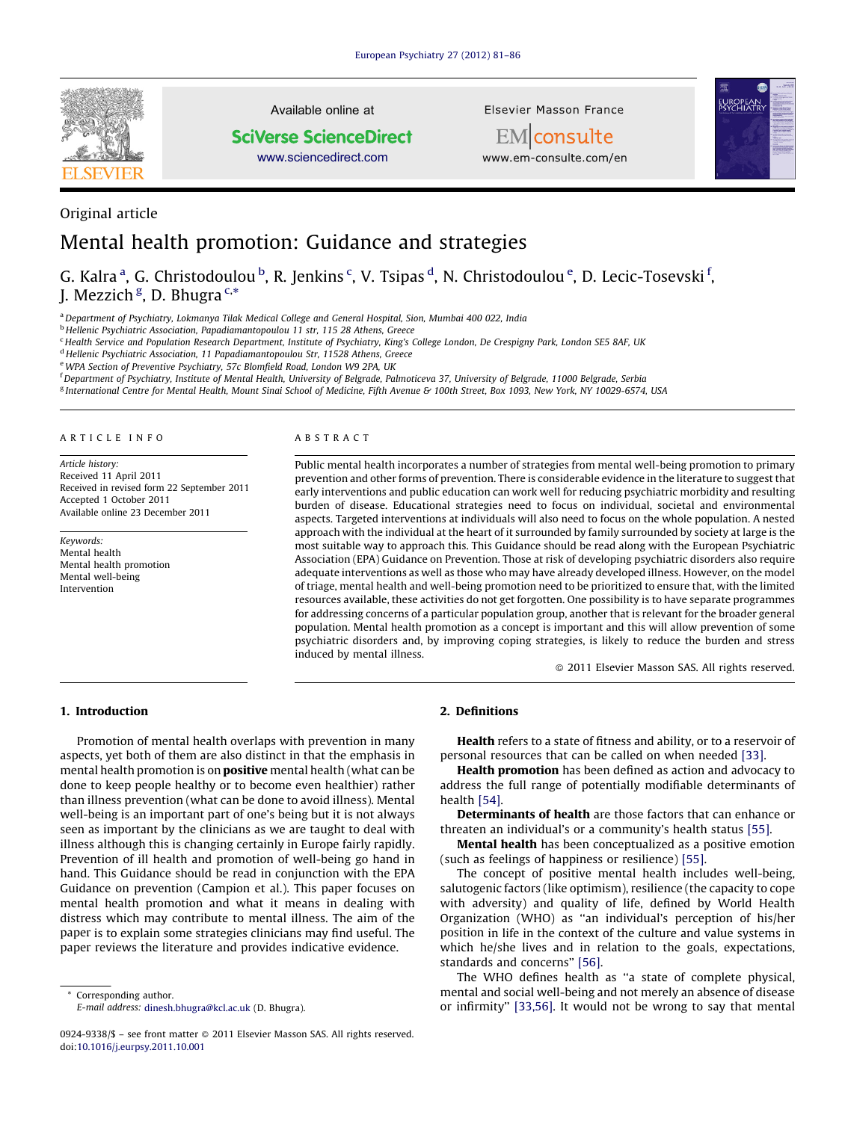

Original article

Available online at

**SciVerse ScienceDirect** [www.sciencedirect.com](http://www.sciencedirect.com/science/journal/09249338)

Elsevier Masson France



EMconsulte www.em-consulte.com/en

# Mental health promotion: Guidance and strategies

G. Kalra <sup>a</sup>, G. Christodoulou <sup>b</sup>, R. Jenkins <sup>c</sup>, V. Tsipas <sup>d</sup>, N. Christodoulou <sup>e</sup>, D. Lecic-Tosevski <sup>f</sup>, J. Mezzich <sup>g</sup>, D. Bhugra <sup>c,</sup>\*

a Department of Psychiatry, Lokmanya Tilak Medical College and General Hospital, Sion, Mumbai 400 022, India

<sup>b</sup> Hellenic Psychiatric Association, Papadiamantopoulou 11 str, 115 28 Athens, Greece

<sup>c</sup> Health Service and Population Research Department, Institute of Psychiatry, King's College London, De Crespigny Park, London SE5 8AF, UK

<sup>d</sup> Hellenic Psychiatric Association, 11 Papadiamantopoulou Str, 11528 Athens, Greece

e WPA Section of Preventive Psychiatry, 57c Blomfield Road, London W9 2PA, UK

f Department of Psychiatry, Institute of Mental Health, University of Belgrade, Palmoticeva 37, University of Belgrade, 11000 Belgrade, Serbia

<sup>g</sup> International Centre for Mental Health, Mount Sinai School of Medicine, Fifth Avenue & 100th Street, Box 1093, New York, NY 10029-6574, USA

# A R T I C L E I N F O

Article history: Received 11 April 2011 Received in revised form 22 September 2011 Accepted 1 October 2011 Available online 23 December 2011

Keywords: Mental health Mental health promotion Mental well-being Intervention

#### A B S T R A C T

Public mental health incorporates a number of strategies from mental well-being promotion to primary prevention and other forms of prevention. There is considerable evidence in the literature to suggest that early interventions and public education can work well for reducing psychiatric morbidity and resulting burden of disease. Educational strategies need to focus on individual, societal and environmental aspects. Targeted interventions at individuals will also need to focus on the whole population. A nested approach with the individual at the heart of it surrounded by family surrounded by society at large is the most suitable way to approach this. This Guidance should be read along with the European Psychiatric Association (EPA) Guidance on Prevention. Those at risk of developing psychiatric disorders also require adequate interventions as well as those who may have already developed illness. However, on the model of triage, mental health and well-being promotion need to be prioritized to ensure that, with the limited resources available, these activities do not get forgotten. One possibility is to have separate programmes for addressing concerns of a particular population group, another that is relevant for the broader general population. Mental health promotion as a concept is important and this will allow prevention of some psychiatric disorders and, by improving coping strategies, is likely to reduce the burden and stress induced by mental illness.

 $\odot$  2011 Elsevier Masson SAS. All rights reserved.

# 1. Introduction

Promotion of mental health overlaps with prevention in many aspects, yet both of them are also distinct in that the emphasis in mental health promotion is on positive mental health (what can be done to keep people healthy or to become even healthier) rather than illness prevention (what can be done to avoid illness). Mental well-being is an important part of one's being but it is not always seen as important by the clinicians as we are taught to deal with illness although this is changing certainly in Europe fairly rapidly. Prevention of ill health and promotion of well-being go hand in hand. This Guidance should be read in conjunction with the EPA Guidance on prevention (Campion et al.). This paper focuses on mental health promotion and what it means in dealing with distress which may contribute to mental illness. The aim of the paper is to explain some strategies clinicians may find useful. The paper reviews the literature and provides indicative evidence.

Corresponding author. E-mail address: [dinesh.bhugra@kcl.ac.uk](mailto:dinesh.bhugra@kcl.ac.uk) (D. Bhugra).

# 2. Definitions

Health refers to a state of fitness and ability, or to a reservoir of personal resources that can be called on when needed [\[33\]](#page-4-0).

Health promotion has been defined as action and advocacy to address the full range of potentially modifiable determinants of health [\[54\]](#page-5-0).

Determinants of health are those factors that can enhance or threaten an individual's or a community's health status [\[55\].](#page-5-0)

Mental health has been conceptualized as a positive emotion (such as feelings of happiness or resilience) [\[55\]](#page-5-0).

The concept of positive mental health includes well-being, salutogenic factors (like optimism), resilience (the capacity to cope with adversity) and quality of life, defined by World Health Organization (WHO) as ''an individual's perception of his/her position in life in the context of the culture and value systems in which he/she lives and in relation to the goals, expectations, standards and concerns'' [\[56\].](#page-5-0)

The WHO defines health as ''a state of complete physical, mental and social well-being and not merely an absence of disease or infirmity'' [\[33,56\]](#page-4-0). It would not be wrong to say that mental

<sup>0924-9338/\$ –</sup> see front matter © 2011 Elsevier Masson SAS. All rights reserved. doi:[10.1016/j.eurpsy.2011.10.001](http://dx.doi.org/10.1016/j.eurpsy.2011.10.001)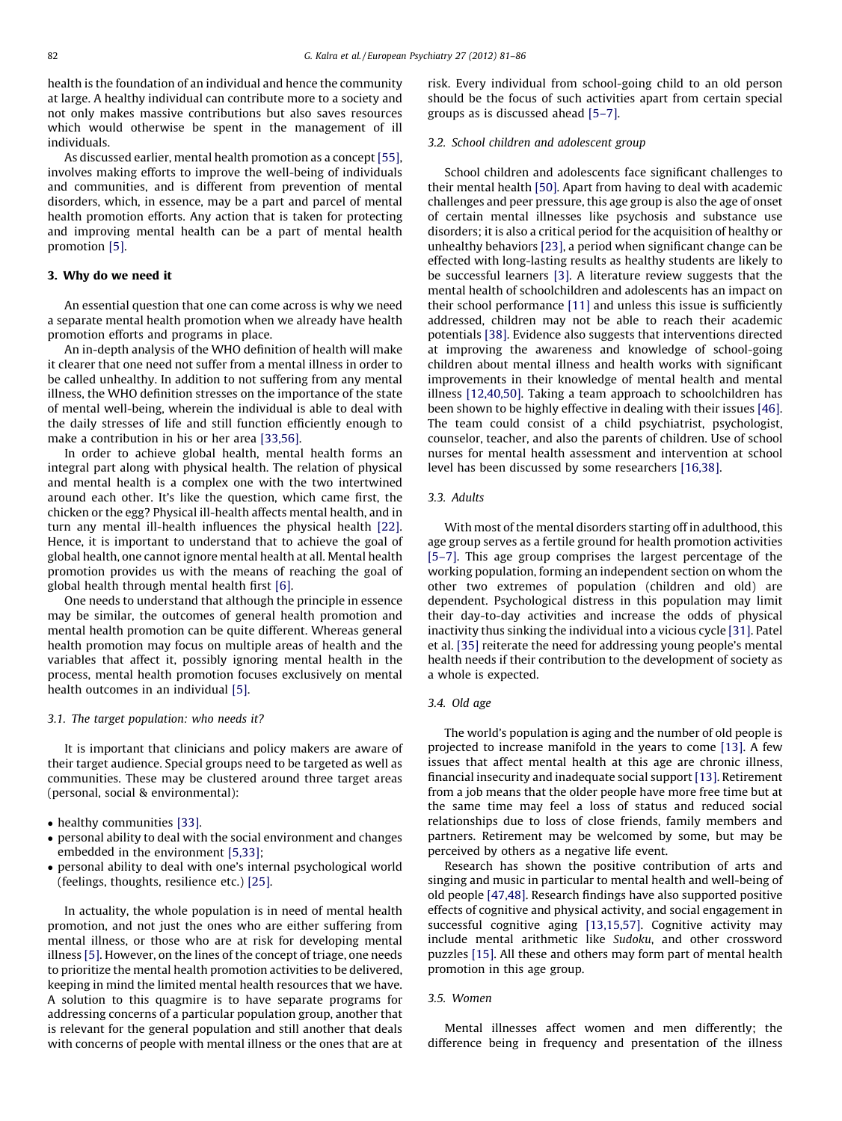health is the foundation of an individual and hence the community at large. A healthy individual can contribute more to a society and not only makes massive contributions but also saves resources which would otherwise be spent in the management of ill individuals.

As discussed earlier, mental health promotion as a concept [\[55\],](#page-5-0) involves making efforts to improve the well-being of individuals and communities, and is different from prevention of mental disorders, which, in essence, may be a part and parcel of mental health promotion efforts. Any action that is taken for protecting and improving mental health can be a part of mental health promotion [\[5\].](#page-4-0)

# 3. Why do we need it

An essential question that one can come across is why we need a separate mental health promotion when we already have health promotion efforts and programs in place.

An in-depth analysis of the WHO definition of health will make it clearer that one need not suffer from a mental illness in order to be called unhealthy. In addition to not suffering from any mental illness, the WHO definition stresses on the importance of the state of mental well-being, wherein the individual is able to deal with the daily stresses of life and still function efficiently enough to make a contribution in his or her area [\[33,56\].](#page-4-0)

In order to achieve global health, mental health forms an integral part along with physical health. The relation of physical and mental health is a complex one with the two intertwined around each other. It's like the question, which came first, the chicken or the egg? Physical ill-health affects mental health, and in turn any mental ill-health influences the physical health [\[22\].](#page-4-0) Hence, it is important to understand that to achieve the goal of global health, one cannot ignore mental health at all. Mental health promotion provides us with the means of reaching the goal of global health through mental health first [\[6\].](#page-4-0)

One needs to understand that although the principle in essence may be similar, the outcomes of general health promotion and mental health promotion can be quite different. Whereas general health promotion may focus on multiple areas of health and the variables that affect it, possibly ignoring mental health in the process, mental health promotion focuses exclusively on mental health outcomes in an individual [\[5\]](#page-4-0).

#### 3.1. The target population: who needs it?

It is important that clinicians and policy makers are aware of their target audience. Special groups need to be targeted as well as communities. These may be clustered around three target areas (personal, social & environmental):

- healthy communities [\[33\].](#page-4-0)
- personal ability to deal with the social environment and changes embedded in the environment [\[5,33\];](#page-4-0)
- personal ability to deal with one's internal psychological world (feelings, thoughts, resilience etc.) [\[25\].](#page-4-0)

In actuality, the whole population is in need of mental health promotion, and not just the ones who are either suffering from mental illness, or those who are at risk for developing mental illness [\[5\]](#page-4-0). However, on the lines of the concept of triage, one needs to prioritize the mental health promotion activities to be delivered, keeping in mind the limited mental health resources that we have. A solution to this quagmire is to have separate programs for addressing concerns of a particular population group, another that is relevant for the general population and still another that deals with concerns of people with mental illness or the ones that are at risk. Every individual from school-going child to an old person should be the focus of such activities apart from certain special groups as is discussed ahead [\[5–7\].](#page-4-0)

# 3.2. School children and adolescent group

School children and adolescents face significant challenges to their mental health [\[50\]](#page-5-0). Apart from having to deal with academic challenges and peer pressure, this age group is also the age of onset of certain mental illnesses like psychosis and substance use disorders; it is also a critical period for the acquisition of healthy or unhealthy behaviors [\[23\]](#page-4-0), a period when significant change can be effected with long-lasting results as healthy students are likely to be successful learners [\[3\].](#page-4-0) A literature review suggests that the mental health of schoolchildren and adolescents has an impact on their school performance [\[11\]](#page-4-0) and unless this issue is sufficiently addressed, children may not be able to reach their academic potentials [\[38\].](#page-4-0) Evidence also suggests that interventions directed at improving the awareness and knowledge of school-going children about mental illness and health works with significant improvements in their knowledge of mental health and mental illness [\[12,40,50\].](#page-4-0) Taking a team approach to schoolchildren has been shown to be highly effective in dealing with their issues [\[46\].](#page-5-0) The team could consist of a child psychiatrist, psychologist, counselor, teacher, and also the parents of children. Use of school nurses for mental health assessment and intervention at school level has been discussed by some researchers [\[16,38\]](#page-4-0).

#### 3.3. Adults

With most of the mental disorders starting off in adulthood, this age group serves as a fertile ground for health promotion activities [\[5–7\]](#page-4-0). This age group comprises the largest percentage of the working population, forming an independent section on whom the other two extremes of population (children and old) are dependent. Psychological distress in this population may limit their day-to-day activities and increase the odds of physical inactivity thus sinking the individual into a vicious cycle [\[31\]](#page-4-0). Patel et al. [\[35\]](#page-4-0) reiterate the need for addressing young people's mental health needs if their contribution to the development of society as a whole is expected.

# 3.4. Old age

The world's population is aging and the number of old people is projected to increase manifold in the years to come [\[13\].](#page-4-0) A few issues that affect mental health at this age are chronic illness, financial insecurity and inadequate social support [\[13\]](#page-4-0). Retirement from a job means that the older people have more free time but at the same time may feel a loss of status and reduced social relationships due to loss of close friends, family members and partners. Retirement may be welcomed by some, but may be perceived by others as a negative life event.

Research has shown the positive contribution of arts and singing and music in particular to mental health and well-being of old people [\[47,48\].](#page-5-0) Research findings have also supported positive effects of cognitive and physical activity, and social engagement in successful cognitive aging [\[13,15,57\]](#page-4-0). Cognitive activity may include mental arithmetic like Sudoku, and other crossword puzzles [\[15\]](#page-4-0). All these and others may form part of mental health promotion in this age group.

#### 3.5. Women

Mental illnesses affect women and men differently; the difference being in frequency and presentation of the illness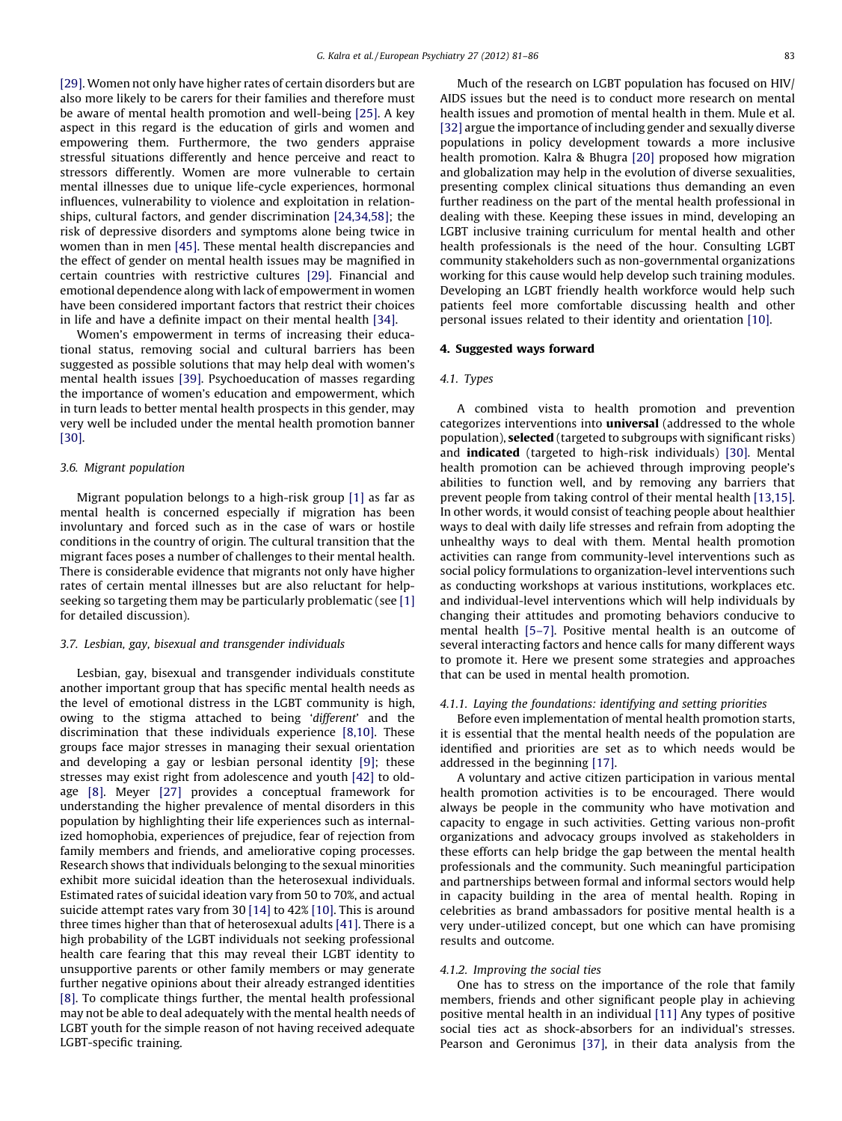[\[29\]](#page-4-0). Women not only have higher rates of certain disorders but are also more likely to be carers for their families and therefore must be aware of mental health promotion and well-being [\[25\]](#page-4-0). A key aspect in this regard is the education of girls and women and empowering them. Furthermore, the two genders appraise stressful situations differently and hence perceive and react to stressors differently. Women are more vulnerable to certain mental illnesses due to unique life-cycle experiences, hormonal influences, vulnerability to violence and exploitation in relationships, cultural factors, and gender discrimination [\[24,34,58\]](#page-4-0); the risk of depressive disorders and symptoms alone being twice in women than in men [\[45\]](#page-5-0). These mental health discrepancies and the effect of gender on mental health issues may be magnified in certain countries with restrictive cultures [\[29\].](#page-4-0) Financial and emotional dependence along with lack of empowerment in women have been considered important factors that restrict their choices in life and have a definite impact on their mental health [\[34\].](#page-4-0)

Women's empowerment in terms of increasing their educational status, removing social and cultural barriers has been suggested as possible solutions that may help deal with women's mental health issues [\[39\]](#page-4-0). Psychoeducation of masses regarding the importance of women's education and empowerment, which in turn leads to better mental health prospects in this gender, may very well be included under the mental health promotion banner [\[30\]](#page-4-0).

# 3.6. Migrant population

Migrant population belongs to a high-risk group [\[1\]](#page-4-0) as far as mental health is concerned especially if migration has been involuntary and forced such as in the case of wars or hostile conditions in the country of origin. The cultural transition that the migrant faces poses a number of challenges to their mental health. There is considerable evidence that migrants not only have higher rates of certain mental illnesses but are also reluctant for helpseeking so targeting them may be particularly problematic (see [\[1\]](#page-4-0) for detailed discussion).

## 3.7. Lesbian, gay, bisexual and transgender individuals

Lesbian, gay, bisexual and transgender individuals constitute another important group that has specific mental health needs as the level of emotional distress in the LGBT community is high, owing to the stigma attached to being 'different' and the discrimination that these individuals experience [\[8,10\].](#page-4-0) These groups face major stresses in managing their sexual orientation and developing a gay or lesbian personal identity [\[9\]](#page-4-0); these stresses may exist right from adolescence and youth [\[42\]](#page-5-0) to oldage [\[8\]](#page-4-0). Meyer [\[27\]](#page-4-0) provides a conceptual framework for understanding the higher prevalence of mental disorders in this population by highlighting their life experiences such as internalized homophobia, experiences of prejudice, fear of rejection from family members and friends, and ameliorative coping processes. Research shows that individuals belonging to the sexual minorities exhibit more suicidal ideation than the heterosexual individuals. Estimated rates of suicidal ideation vary from 50 to 70%, and actual suicide attempt rates vary from 30 [\[14\]](#page-4-0) to 42% [\[10\]](#page-4-0). This is around three times higher than that of heterosexual adults [\[41\]](#page-4-0). There is a high probability of the LGBT individuals not seeking professional health care fearing that this may reveal their LGBT identity to unsupportive parents or other family members or may generate further negative opinions about their already estranged identities [\[8\]](#page-4-0). To complicate things further, the mental health professional may not be able to deal adequately with the mental health needs of LGBT youth for the simple reason of not having received adequate LGBT-specific training.

Much of the research on LGBT population has focused on HIV/ AIDS issues but the need is to conduct more research on mental health issues and promotion of mental health in them. Mule et al. [\[32\]](#page-4-0) argue the importance of including gender and sexually diverse populations in policy development towards a more inclusive health promotion. Kalra & Bhugra [\[20\]](#page-4-0) proposed how migration and globalization may help in the evolution of diverse sexualities, presenting complex clinical situations thus demanding an even further readiness on the part of the mental health professional in dealing with these. Keeping these issues in mind, developing an LGBT inclusive training curriculum for mental health and other health professionals is the need of the hour. Consulting LGBT community stakeholders such as non-governmental organizations working for this cause would help develop such training modules. Developing an LGBT friendly health workforce would help such patients feel more comfortable discussing health and other personal issues related to their identity and orientation [\[10\].](#page-4-0)

# 4. Suggested ways forward

## 4.1. Types

A combined vista to health promotion and prevention categorizes interventions into **universal** (addressed to the whole population), selected (targeted to subgroups with significant risks) and **indicated** (targeted to high-risk individuals) [\[30\]](#page-4-0). Mental health promotion can be achieved through improving people's abilities to function well, and by removing any barriers that prevent people from taking control of their mental health [\[13,15\].](#page-4-0) In other words, it would consist of teaching people about healthier ways to deal with daily life stresses and refrain from adopting the unhealthy ways to deal with them. Mental health promotion activities can range from community-level interventions such as social policy formulations to organization-level interventions such as conducting workshops at various institutions, workplaces etc. and individual-level interventions which will help individuals by changing their attitudes and promoting behaviors conducive to mental health [\[5–7\]](#page-4-0). Positive mental health is an outcome of several interacting factors and hence calls for many different ways to promote it. Here we present some strategies and approaches that can be used in mental health promotion.

## 4.1.1. Laying the foundations: identifying and setting priorities

Before even implementation of mental health promotion starts, it is essential that the mental health needs of the population are identified and priorities are set as to which needs would be addressed in the beginning [\[17\].](#page-4-0)

A voluntary and active citizen participation in various mental health promotion activities is to be encouraged. There would always be people in the community who have motivation and capacity to engage in such activities. Getting various non-profit organizations and advocacy groups involved as stakeholders in these efforts can help bridge the gap between the mental health professionals and the community. Such meaningful participation and partnerships between formal and informal sectors would help in capacity building in the area of mental health. Roping in celebrities as brand ambassadors for positive mental health is a very under-utilized concept, but one which can have promising results and outcome.

## 4.1.2. Improving the social ties

One has to stress on the importance of the role that family members, friends and other significant people play in achieving positive mental health in an individual [\[11\]](#page-4-0) Any types of positive social ties act as shock-absorbers for an individual's stresses. Pearson and Geronimus [\[37\],](#page-4-0) in their data analysis from the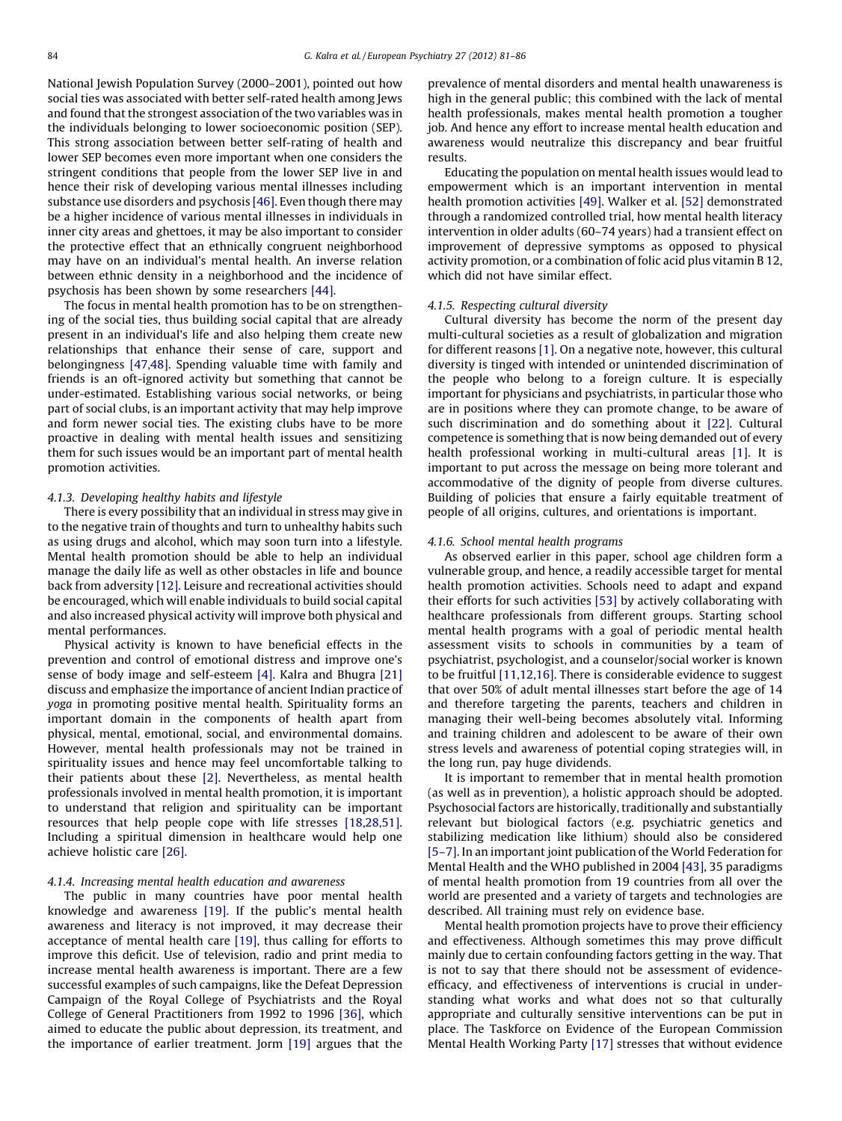National Jewish Population Survey (2000–2001), pointed out how social ties was associated with better self-rated health among Jews and found that the strongest association of the two variables was in the individuals belonging to lower socioeconomic position (SEP). This strong association between better self-rating of health and lower SEP becomes even more important when one considers the stringent conditions that people from the lower SEP live in and hence their risk of developing various mental illnesses including substance use disorders and psychosis [\[46\]](#page-5-0). Even though there may be a higher incidence of various mental illnesses in individuals in inner city areas and ghettoes, it may be also important to consider the protective effect that an ethnically congruent neighborhood may have on an individual's mental health. An inverse relation between ethnic density in a neighborhood and the incidence of psychosis has been shown by some researchers [\[44\].](#page-5-0)

The focus in mental health promotion has to be on strengthening of the social ties, thus building social capital that are already present in an individual's life and also helping them create new relationships that enhance their sense of care, support and belongingness [\[47,48\]](#page-5-0). Spending valuable time with family and friends is an oft-ignored activity but something that cannot be under-estimated. Establishing various social networks, or being part of social clubs, is an important activity that may help improve and form newer social ties. The existing clubs have to be more proactive in dealing with mental health issues and sensitizing them for such issues would be an important part of mental health promotion activities.

# 4.1.3. Developing healthy habits and lifestyle

There is every possibility that an individual in stress may give in to the negative train of thoughts and turn to unhealthy habits such as using drugs and alcohol, which may soon turn into a lifestyle. Mental health promotion should be able to help an individual manage the daily life as well as other obstacles in life and bounce back from adversity [\[12\]](#page-4-0). Leisure and recreational activities should be encouraged, which will enable individuals to build social capital and also increased physical activity will improve both physical and mental performances.

Physical activity is known to have beneficial effects in the prevention and control of emotional distress and improve one's sense of body image and self-esteem [\[4\].](#page-4-0) Kalra and Bhugra [\[21\]](#page-4-0) discuss and emphasize the importance of ancient Indian practice of yoga in promoting positive mental health. Spirituality forms an important domain in the components of health apart from physical, mental, emotional, social, and environmental domains. However, mental health professionals may not be trained in spirituality issues and hence may feel uncomfortable talking to their patients about these [\[2\]](#page-4-0). Nevertheless, as mental health professionals involved in mental health promotion, it is important to understand that religion and spirituality can be important resources that help people cope with life stresses [\[18,28,51\].](#page-4-0) Including a spiritual dimension in healthcare would help one achieve holistic care [\[26\]](#page-4-0).

# 4.1.4. Increasing mental health education and awareness

The public in many countries have poor mental health knowledge and awareness [\[19\]](#page-4-0). If the public's mental health awareness and literacy is not improved, it may decrease their acceptance of mental health care [\[19\],](#page-4-0) thus calling for efforts to improve this deficit. Use of television, radio and print media to increase mental health awareness is important. There are a few successful examples of such campaigns, like the Defeat Depression Campaign of the Royal College of Psychiatrists and the Royal College of General Practitioners from 1992 to 1996 [\[36\],](#page-4-0) which aimed to educate the public about depression, its treatment, and the importance of earlier treatment. Jorm [\[19\]](#page-4-0) argues that the prevalence of mental disorders and mental health unawareness is high in the general public; this combined with the lack of mental health professionals, makes mental health promotion a tougher job. And hence any effort to increase mental health education and awareness would neutralize this discrepancy and bear fruitful results.

Educating the population on mental health issues would lead to empowerment which is an important intervention in mental health promotion activities [\[49\].](#page-5-0) Walker et al. [\[52\]](#page-5-0) demonstrated through a randomized controlled trial, how mental health literacy intervention in older adults (60–74 years) had a transient effect on improvement of depressive symptoms as opposed to physical activity promotion, or a combination of folic acid plus vitamin B 12, which did not have similar effect.

#### 4.1.5. Respecting cultural diversity

Cultural diversity has become the norm of the present day multi-cultural societies as a result of globalization and migration for different reasons [\[1\]](#page-4-0). On a negative note, however, this cultural diversity is tinged with intended or unintended discrimination of the people who belong to a foreign culture. It is especially important for physicians and psychiatrists, in particular those who are in positions where they can promote change, to be aware of such discrimination and do something about it [\[22\]](#page-4-0). Cultural competence is something that is now being demanded out of every health professional working in multi-cultural areas [\[1\]](#page-4-0). It is important to put across the message on being more tolerant and accommodative of the dignity of people from diverse cultures. Building of policies that ensure a fairly equitable treatment of people of all origins, cultures, and orientations is important.

#### 4.1.6. School mental health programs

As observed earlier in this paper, school age children form a vulnerable group, and hence, a readily accessible target for mental health promotion activities. Schools need to adapt and expand their efforts for such activities [\[53\]](#page-5-0) by actively collaborating with healthcare professionals from different groups. Starting school mental health programs with a goal of periodic mental health assessment visits to schools in communities by a team of psychiatrist, psychologist, and a counselor/social worker is known to be fruitful [\[11,12,16\].](#page-4-0) There is considerable evidence to suggest that over 50% of adult mental illnesses start before the age of 14 and therefore targeting the parents, teachers and children in managing their well-being becomes absolutely vital. Informing and training children and adolescent to be aware of their own stress levels and awareness of potential coping strategies will, in the long run, pay huge dividends.

It is important to remember that in mental health promotion (as well as in prevention), a holistic approach should be adopted. Psychosocial factors are historically, traditionally and substantially relevant but biological factors (e.g. psychiatric genetics and stabilizing medication like lithium) should also be considered [\[5–7\]](#page-4-0). In an important joint publication of the World Federation for Mental Health and the WHO published in 2004 [\[43\]](#page-5-0), 35 paradigms of mental health promotion from 19 countries from all over the world are presented and a variety of targets and technologies are described. All training must rely on evidence base.

Mental health promotion projects have to prove their efficiency and effectiveness. Although sometimes this may prove difficult mainly due to certain confounding factors getting in the way. That is not to say that there should not be assessment of evidenceefficacy, and effectiveness of interventions is crucial in understanding what works and what does not so that culturally appropriate and culturally sensitive interventions can be put in place. The Taskforce on Evidence of the European Commission Mental Health Working Party [\[17\]](#page-4-0) stresses that without evidence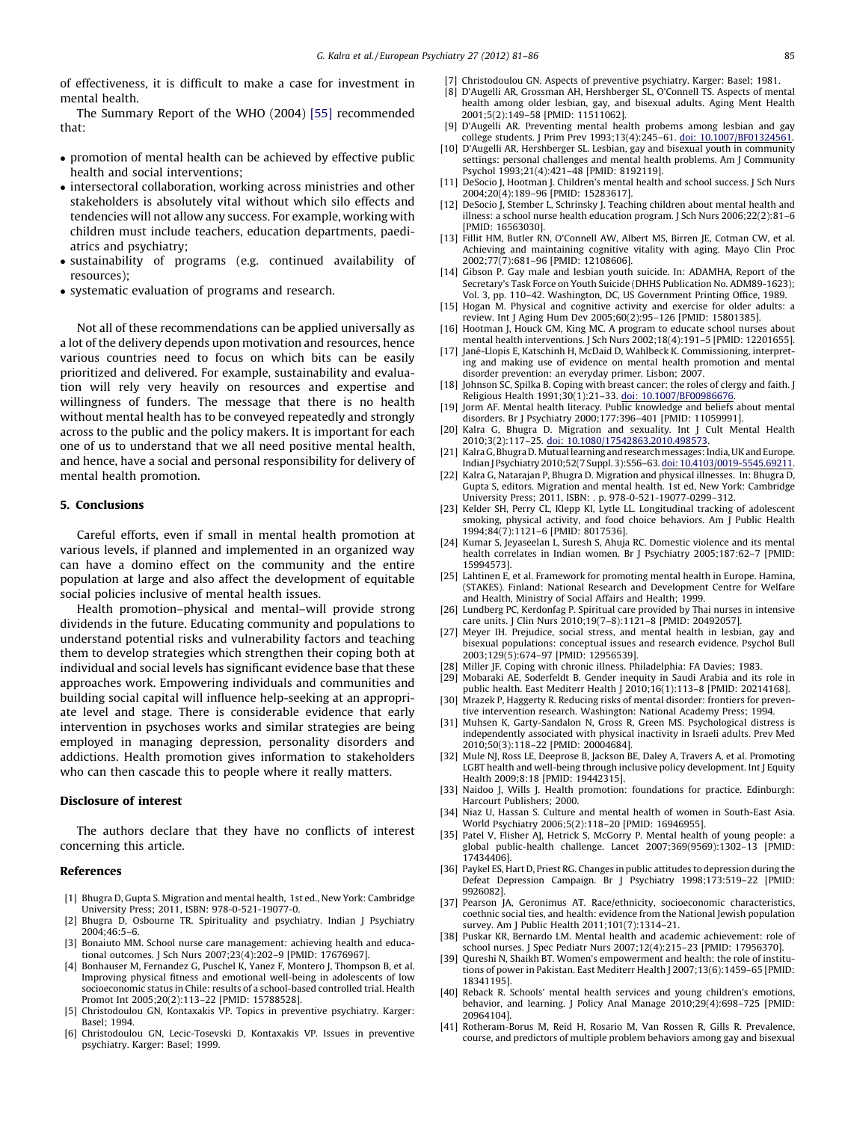<span id="page-4-0"></span>of effectiveness, it is difficult to make a case for investment in mental health.

The Summary Report of the WHO (2004) [\[55\]](#page-5-0) recommended that:

- promotion of mental health can be achieved by effective public health and social interventions;
- intersectoral collaboration, working across ministries and other stakeholders is absolutely vital without which silo effects and tendencies will not allow any success. For example, working with children must include teachers, education departments, paediatrics and psychiatry;
- sustainability of programs (e.g. continued availability of resources);
- systematic evaluation of programs and research.

Not all of these recommendations can be applied universally as a lot of the delivery depends upon motivation and resources, hence various countries need to focus on which bits can be easily prioritized and delivered. For example, sustainability and evaluation will rely very heavily on resources and expertise and willingness of funders. The message that there is no health without mental health has to be conveyed repeatedly and strongly across to the public and the policy makers. It is important for each one of us to understand that we all need positive mental health, and hence, have a social and personal responsibility for delivery of mental health promotion.

# 5. Conclusions

Careful efforts, even if small in mental health promotion at various levels, if planned and implemented in an organized way can have a domino effect on the community and the entire population at large and also affect the development of equitable social policies inclusive of mental health issues.

Health promotion–physical and mental–will provide strong dividends in the future. Educating community and populations to understand potential risks and vulnerability factors and teaching them to develop strategies which strengthen their coping both at individual and social levels has significant evidence base that these approaches work. Empowering individuals and communities and building social capital will influence help-seeking at an appropriate level and stage. There is considerable evidence that early intervention in psychoses works and similar strategies are being employed in managing depression, personality disorders and addictions. Health promotion gives information to stakeholders who can then cascade this to people where it really matters.

# Disclosure of interest

The authors declare that they have no conflicts of interest concerning this article.

### References

- [1] Bhugra D, Gupta S. Migration and mental health, 1st ed., New York: Cambridge University Press; 2011, ISBN: 978-0-521-19077-0.
- [2] Bhugra D, Osbourne TR. Spirituality and psychiatry. Indian J Psychiatry  $2004.46.5 - 6$
- [3] Bonaiuto MM. School nurse care management: achieving health and educational outcomes. J Sch Nurs 2007;23(4):202–9 [PMID: 17676967].
- [4] Bonhauser M, Fernandez G, Puschel K, Yanez F, Montero J, Thompson B, et al. Improving physical fitness and emotional well-being in adolescents of low socioeconomic status in Chile: results of a school-based controlled trial. Health Promot Int 2005;20(2):113–22 [PMID: 15788528].
- [5] Christodoulou GN, Kontaxakis VP. Topics in preventive psychiatry. Karger: Basel; 1994.
- [6] Christodoulou GN, Lecic-Tosevski D, Kontaxakis VP. Issues in preventive psychiatry. Karger: Basel; 1999.
- [7] Christodoulou GN. Aspects of preventive psychiatry. Karger: Basel; 1981.
- [8] D'Augelli AR, Grossman AH, Hershberger SL, O'Connell TS. Aspects of mental health among older lesbian, gay, and bisexual adults. Aging Ment Health 2001;5(2):149–58 [PMID: 11511062].
- [9] D'Augelli AR. Preventing mental health probems among lesbian and gay college students. J Prim Prev 1993;13(4):245–6[1.](http://dx.doi.org/10.1007/BF01324561) doi: [10.1007/BF01324561](http://dx.doi.org/10.1007/BF01324561).
- [10] D'Augelli AR, Hershberger SL. Lesbian, gay and bisexual youth in community settings: personal challenges and mental health problems. Am J Community Psychol 1993;21(4):421–48 [PMID: 8192119].
- [11] DeSocio J, Hootman J. Children's mental health and school success. J Sch Nurs 2004;20(4):189–96 [PMID: 15283617].
- [12] DeSocio J, Stember L, Schrinsky J. Teaching children about mental health and illness: a school nurse health education program. J Sch Nurs 2006;22(2):81–6 [PMID: 16563030].
- [13] Fillit HM, Butler RN, O'Connell AW, Albert MS, Birren JE, Cotman CW, et al. Achieving and maintaining cognitive vitality with aging. Mayo Clin Proc 2002;77(7):681–96 [PMID: 12108606].
- [14] Gibson P. Gay male and lesbian youth suicide. In: ADAMHA, Report of the Secretary's Task Force on Youth Suicide (DHHS Publication No. ADM89-1623); Vol. 3, pp. 110–42. Washington, DC, US Government Printing Office, 1989.
- [15] Hogan M. Physical and cognitive activity and exercise for older adults: a review. Int J Aging Hum Dev 2005;60(2):95–126 [PMID: 15801385].
- [16] Hootman J, Houck GM, King MC. A program to educate school nurses about mental health interventions. J Sch Nurs 2002;18(4):191–5 [PMID: 12201655].
- [17] Jané-Llopis E, Katschinh H, McDaid D, Wahlbeck K. Commissioning, interpreting and making use of evidence on mental health promotion and mental disorder prevention: an everyday primer. Lisbon; 2007.
- [18] Johnson SC, Spilka B. Coping with breast cancer: the roles of clergy and faith. J Religious Health 1991;30(1):21–33[.](http://dx.doi.org/10.1007/BF00986676) doi: [10.1007/BF00986676](http://dx.doi.org/10.1007/BF00986676).
- [19] Jorm AF. Mental health literacy. Public knowledge and beliefs about mental disorders. Br J Psychiatry 2000;177:396–401 [PMID: 11059991].
- [20] Kalra G, Bhugra D. Migration and sexuality. Int J Cult Mental Health 2010;3(2):117–2[5.](http://dx.doi.org/10.1080/17542863.2010.498573) doi: [10.1080/17542863.2010.498573.](http://dx.doi.org/10.1080/17542863.2010.498573)
- [21] Kalra G, Bhugra D. Mutual learning and research messages: India, UK and Europe. IndianJ Psychiatry 2010;52(7Suppl.3):S56–63[.](http://dx.doi.org/10.4103/0019-5545.69211) [doi:10.4103/0019-5545.69211.](http://dx.doi.org/10.4103/0019-5545.69211)
- [22] Kalra G, Natarajan P, Bhugra D. Migration and physical illnesses. In: Bhugra D, Gupta S, editors. Migration and mental health. 1st ed, New York: Cambridge University Press; 2011, ISBN: . p. 978-0-521-19077-0299–312.
- [23] Kelder SH, Perry CL, Klepp KI, Lytle LL. Longitudinal tracking of adolescent smoking, physical activity, and food choice behaviors. Am J Public Health 1994;84(7):1121–6 [PMID: 8017536].
- [24] Kumar S, Jeyaseelan L, Suresh S, Ahuja RC. Domestic violence and its mental health correlates in Indian women. Br J Psychiatry 2005;187:62–7 [PMID: 15994573].
- [25] Lahtinen E, et al. Framework for promoting mental health in Europe. Hamina, (STAKES). Finland: National Research and Development Centre for Welfare and Health, Ministry of Social Affairs and Health; 1999.
- [26] Lundberg PC, Kerdonfag P. Spiritual care provided by Thai nurses in intensive care units. J Clin Nurs 2010;19(7–8):1121–8 [PMID: 20492057].
- [27] Meyer IH. Prejudice, social stress, and mental health in lesbian, gay and bisexual populations: conceptual issues and research evidence. Psychol Bull 2003;129(5):674–97 [PMID: 12956539].
- [28] Miller JF. Coping with chronic illness. Philadelphia: FA Davies; 1983.
- [29] Mobaraki AE, Soderfeldt B. Gender inequity in Saudi Arabia and its role in public health. East Mediterr Health J 2010;16(1):113–8 [PMID: 20214168].
- [30] Mrazek P, Haggerty R. Reducing risks of mental disorder: frontiers for preventive intervention research. Washington: National Academy Press; 1994.
- [31] Muhsen K, Garty-Sandalon N, Gross R, Green MS. Psychological distress is independently associated with physical inactivity in Israeli adults. Prev Med 2010;50(3):118–22 [PMID: 20004684].
- [32] Mule NJ, Ross LE, Deeprose B, Jackson BE, Daley A, Travers A, et al. Promoting LGBT health and well-being through inclusive policy development. Int J Equity Health 2009;8:18 [PMID: 19442315].
- [33] Naidoo J, Wills J. Health promotion: foundations for practice. Edinburgh: Harcourt Publishers; 2000.
- [34] Niaz U, Hassan S. Culture and mental health of women in South-East Asia. World Psychiatry 2006;5(2):118–20 [PMID: 16946955].
- [35] Patel V, Flisher AJ, Hetrick S, McGorry P. Mental health of young people: a global public-health challenge. Lancet 2007;369(9569):1302–13 [PMID: 17434406].
- [36] Paykel ES, Hart D, Priest RG. Changes in public attitudes to depression during the Defeat Depression Campaign. Br J Psychiatry 1998;173:519–22 [PMID: 9926082].
- [37] Pearson JA, Geronimus AT. Race/ethnicity, socioeconomic characteristics, coethnic social ties, and health: evidence from the National Jewish population survey. Am J Public Health 2011;101(7):1314–21.
- [38] Puskar KR, Bernardo LM. Mental health and academic achievement: role of school nurses. J Spec Pediatr Nurs 2007;12(4):215–23 [PMID: 17956370].
- [39] Qureshi N, Shaikh BT. Women's empowerment and health: the role of institutions of power in Pakistan. East Mediterr Health J 2007;13(6):1459–65 [PMID: 18341195].
- [40] Reback R. Schools' mental health services and young children's emotions, behavior, and learning. J Policy Anal Manage 2010;29(4):698–725 [PMID: 20964104].
- [41] Rotheram-Borus M, Reid H, Rosario M, Van Rossen R, Gills R. Prevalence, course, and predictors of multiple problem behaviors among gay and bisexual